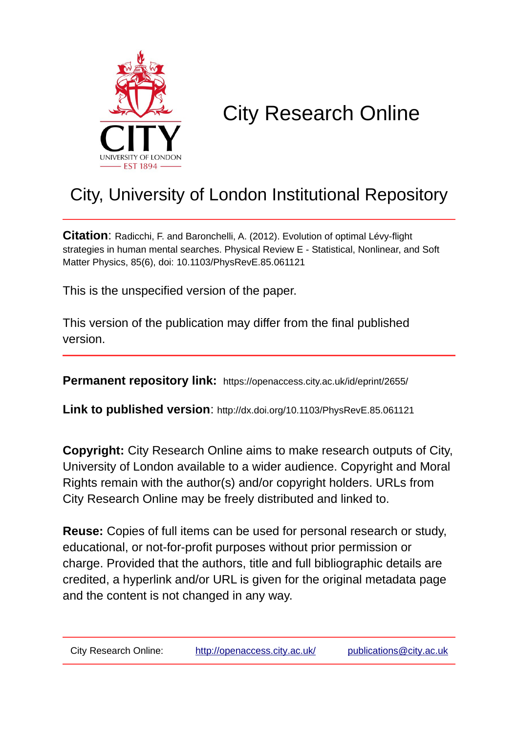

# City Research Online

# City, University of London Institutional Repository

**Citation**: Radicchi, F. and Baronchelli, A. (2012). Evolution of optimal Lévy-flight strategies in human mental searches. Physical Review E - Statistical, Nonlinear, and Soft Matter Physics, 85(6), doi: 10.1103/PhysRevE.85.061121

This is the unspecified version of the paper.

This version of the publication may differ from the final published version.

**Permanent repository link:** https://openaccess.city.ac.uk/id/eprint/2655/

**Link to published version**: http://dx.doi.org/10.1103/PhysRevE.85.061121

**Copyright:** City Research Online aims to make research outputs of City, University of London available to a wider audience. Copyright and Moral Rights remain with the author(s) and/or copyright holders. URLs from City Research Online may be freely distributed and linked to.

**Reuse:** Copies of full items can be used for personal research or study, educational, or not-for-profit purposes without prior permission or charge. Provided that the authors, title and full bibliographic details are credited, a hyperlink and/or URL is given for the original metadata page and the content is not changed in any way.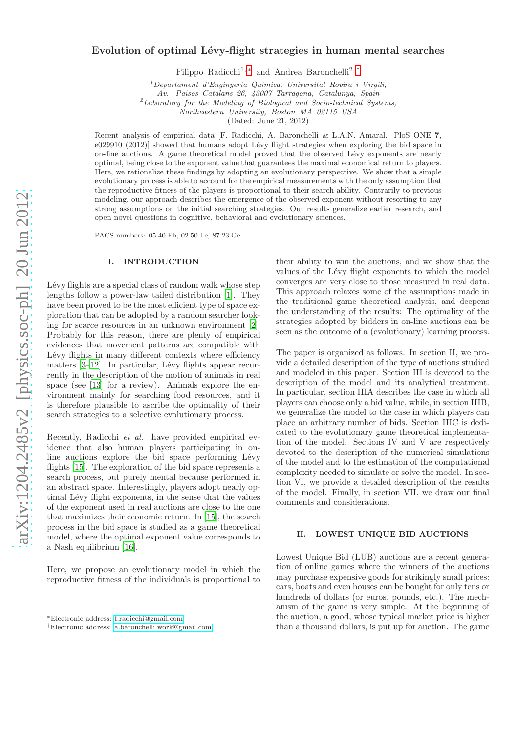# Evolution of optimal Lévy-flight strategies in human mental searches

Filippo Radicchi<sup>1,\*</sup> and Andrea Baronchelli<sup>2,[†](#page-1-1)</sup>

<sup>1</sup>*Departament d'Enginyeria Quimica, Universitat Rovira i Virgili,*

*Av. Paisos Catalans 26, 43007 Tarragona, Catalunya, Spain*

<sup>2</sup>*Laboratory for the Modeling of Biological and Socio-technical Systems,*

*Northeastern University, Boston MA 02115 USA*

(Dated: June 21, 2012)

Recent analysis of empirical data [F. Radicchi, A. Baronchelli & L.A.N. Amaral. PloS ONE 7, e029910 (2012)] showed that humans adopt Lévy flight strategies when exploring the bid space in on-line auctions. A game theoretical model proved that the observed L´evy exponents are nearly optimal, being close to the exponent value that guarantees the maximal economical return to players. Here, we rationalize these findings by adopting an evolutionary perspective. We show that a simple evolutionary process is able to account for the empirical measurements with the only assumption that the reproductive fitness of the players is proportional to their search ability. Contrarily to previous modeling, our approach describes the emergence of the observed exponent without resorting to any strong assumptions on the initial searching strategies. Our results generalize earlier research, and open novel questions in cognitive, behavioral and evolutionary sciences.

PACS numbers: 05.40.Fb, 02.50.Le, 87.23.Ge

# I. INTRODUCTION

Lévy flights are a special class of random walk whose step lengths follow a power-law tailed distribution [\[1](#page-8-0)]. They have been proved to be the most efficient type of space exploration that can be adopted by a random searcher looking for scarce resources in an unknown environment [\[2\]](#page-8-1). Probably for this reason, there are plenty of empirical evidences that movement patterns are compatible with Lévy flights in many different contexts where efficiency matters  $[3-12]$ . In particular, Lévy flights appear recurrently in the description of the motion of animals in real space (see [\[13\]](#page-8-4) for a review). Animals explore the environment mainly for searching food resources, and it is therefore plausible to ascribe the optimality of their search strategies to a selective evolutionary process.

Recently, Radicchi et al. have provided empirical evidence that also human players participating in online auctions explore the bid space performing Lévy flights [\[15\]](#page-8-5). The exploration of the bid space represents a search process, but purely mental because performed in an abstract space. Interestingly, players adopt nearly optimal Lévy flight exponents, in the sense that the values of the exponent used in real auctions are close to the one that maximizes their economic return. In [\[15](#page-8-5)], the search process in the bid space is studied as a game theoretical model, where the optimal exponent value corresponds to a Nash equilibrium [\[16](#page-8-6)].

Here, we propose an evolutionary model in which the reproductive fitness of the individuals is proportional to their ability to win the auctions, and we show that the values of the Lévy flight exponents to which the model converges are very close to those measured in real data. This approach relaxes some of the assumptions made in the traditional game theoretical analysis, and deepens the understanding of the results: The optimality of the strategies adopted by bidders in on-line auctions can be seen as the outcome of a (evolutionary) learning process.

The paper is organized as follows. In section II, we provide a detailed description of the type of auctions studied and modeled in this paper. Section III is devoted to the description of the model and its analytical treatment. In particular, section IIIA describes the case in which all players can choose only a bid value, while, in section IIIB, we generalize the model to the case in which players can place an arbitrary number of bids. Section IIIC is dedicated to the evolutionary game theoretical implementation of the model. Sections IV and V are respectively devoted to the description of the numerical simulations of the model and to the estimation of the computational complexity needed to simulate or solve the model. In section VI, we provide a detailed description of the results of the model. Finally, in section VII, we draw our final comments and considerations.

#### II. LOWEST UNIQUE BID AUCTIONS

Lowest Unique Bid (LUB) auctions are a recent generation of online games where the winners of the auctions may purchase expensive goods for strikingly small prices: cars, boats and even houses can be bought for only tens or hundreds of dollars (or euros, pounds, etc.). The mechanism of the game is very simple. At the beginning of the auction, a good, whose typical market price is higher than a thousand dollars, is put up for auction. The game

<span id="page-1-0"></span><sup>∗</sup>Electronic address: [f.radicchi@gmail.com](mailto:f.radicchi@gmail.com)

<span id="page-1-1"></span><sup>†</sup>Electronic address: [a.baronchelli.work@gmail.com](mailto:a.baronchelli.work@gmail.com)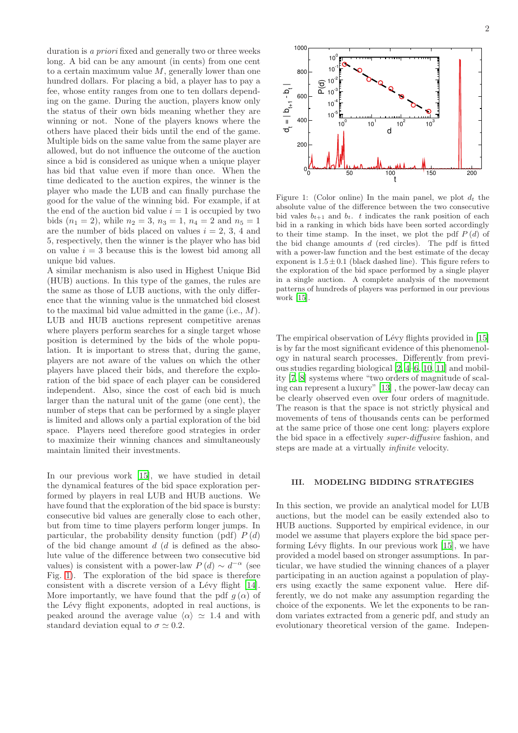duration is a priori fixed and generally two or three weeks long. A bid can be any amount (in cents) from one cent to a certain maximum value  $M$ , generally lower than one hundred dollars. For placing a bid, a player has to pay a fee, whose entity ranges from one to ten dollars depending on the game. During the auction, players know only the status of their own bids meaning whether they are winning or not. None of the players knows where the others have placed their bids until the end of the game. Multiple bids on the same value from the same player are allowed, but do not influence the outcome of the auction since a bid is considered as unique when a unique player has bid that value even if more than once. When the time dedicated to the auction expires, the winner is the player who made the LUB and can finally purchase the good for the value of the winning bid. For example, if at the end of the auction bid value  $i = 1$  is occupied by two bids  $(n_1 = 2)$ , while  $n_2 = 3$ ,  $n_3 = 1$ ,  $n_4 = 2$  and  $n_5 = 1$ are the number of bids placed on values  $i = 2, 3, 4$  and 5, respectively, then the winner is the player who has bid on value  $i = 3$  because this is the lowest bid among all unique bid values.

A similar mechanism is also used in Highest Unique Bid (HUB) auctions. In this type of the games, the rules are the same as those of LUB auctions, with the only difference that the winning value is the unmatched bid closest to the maximal bid value admitted in the game (i.e., M). LUB and HUB auctions represent competitive arenas where players perform searches for a single target whose position is determined by the bids of the whole population. It is important to stress that, during the game, players are not aware of the values on which the other players have placed their bids, and therefore the exploration of the bid space of each player can be considered independent. Also, since the cost of each bid is much larger than the natural unit of the game (one cent), the number of steps that can be performed by a single player is limited and allows only a partial exploration of the bid space. Players need therefore good strategies in order to maximize their winning chances and simultaneously maintain limited their investments.

In our previous work [\[15\]](#page-8-5), we have studied in detail the dynamical features of the bid space exploration performed by players in real LUB and HUB auctions. We have found that the exploration of the bid space is bursty: consecutive bid values are generally close to each other, but from time to time players perform longer jumps. In particular, the probability density function (pdf)  $P(d)$ of the bid change amount  $d$  ( $d$  is defined as the absolute value of the difference between two consecutive bid values) is consistent with a power-law  $P(d) \sim d^{-\alpha}$  (see Fig. [1\)](#page-2-0). The exploration of the bid space is therefore consistent with a discrete version of a Lévy flight  $[14]$ . More importantly, we have found that the pdf  $q(\alpha)$  of the Lévy flight exponents, adopted in real auctions, is peaked around the average value  $\langle \alpha \rangle \simeq 1.4$  and with standard deviation equal to  $\sigma \simeq 0.2$ .



<span id="page-2-0"></span>Figure 1: (Color online) In the main panel, we plot  $d_t$  the absolute value of the difference between the two consecutive bid vales  $b_{t+1}$  and  $b_t$ . t indicates the rank position of each bid in a ranking in which bids have been sorted accordingly to their time stamp. In the inset, we plot the pdf  $P(d)$  of the bid change amounts  $d$  (red circles). The pdf is fitted with a power-law function and the best estimate of the decay exponent is  $1.5 \pm 0.1$  (black dashed line). This figure refers to the exploration of the bid space performed by a single player in a single auction. A complete analysis of the movement patterns of hundreds of players was performed in our previous work [\[15](#page-8-5)].

The empirical observation of Lévy flights provided in [\[15](#page-8-5)] is by far the most significant evidence of this phenomenology in natural search processes. Differently from previous studies regarding biological [\[2,](#page-8-1) [4](#page-8-8)[–6,](#page-8-9) [10,](#page-8-10) [11\]](#page-8-11) and mobility [\[7](#page-8-12), [8\]](#page-8-13) systems where "two orders of magnitude of scaling can represent a luxury" [\[13\]](#page-8-4) , the power-law decay can be clearly observed even over four orders of magnitude. The reason is that the space is not strictly physical and movements of tens of thousands cents can be performed at the same price of those one cent long: players explore the bid space in a effectively super-diffusive fashion, and steps are made at a virtually infinite velocity.

# III. MODELING BIDDING STRATEGIES

In this section, we provide an analytical model for LUB auctions, but the model can be easily extended also to HUB auctions. Supported by empirical evidence, in our model we assume that players explore the bid space performing Lévy flights. In our previous work  $[15]$ , we have provided a model based on stronger assumptions. In particular, we have studied the winning chances of a player participating in an auction against a population of players using exactly the same exponent value. Here differently, we do not make any assumption regarding the choice of the exponents. We let the exponents to be random variates extracted from a generic pdf, and study an evolutionary theoretical version of the game. Indepen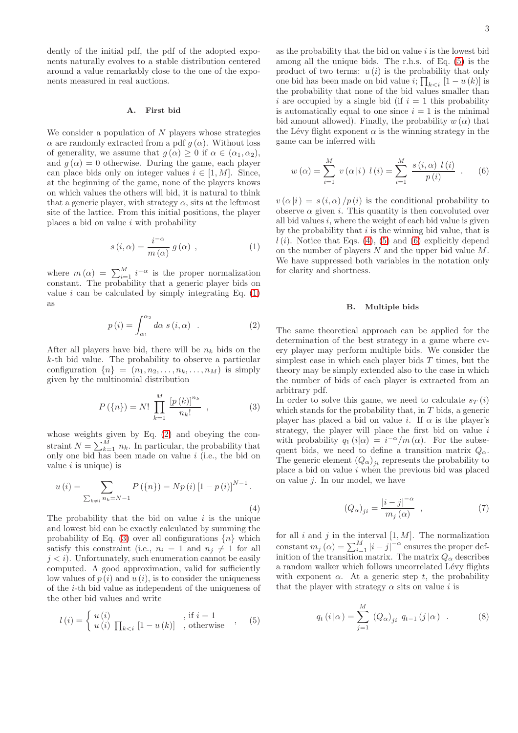dently of the initial pdf, the pdf of the adopted exponents naturally evolves to a stable distribution centered around a value remarkably close to the one of the exponents measured in real auctions.

### A. First bid

We consider a population of  $N$  players whose strategies  $\alpha$  are randomly extracted from a pdf  $g(\alpha)$ . Without loss of generality, we assume that  $g(\alpha) \geq 0$  if  $\alpha \in (\alpha_1, \alpha_2)$ , and  $g(\alpha) = 0$  otherwise. During the game, each player can place bids only on integer values  $i \in [1, M]$ . Since, at the beginning of the game, none of the players knows on which values the others will bid, it is natural to think that a generic player, with strategy  $\alpha$ , sits at the leftmost site of the lattice. From this initial positions, the player places a bid on value  $i$  with probability

<span id="page-3-0"></span>
$$
s(i, \alpha) = \frac{i^{-\alpha}}{m(\alpha)} g(\alpha) , \qquad (1)
$$

where  $m(\alpha) = \sum_{i=1}^{M} i^{-\alpha}$  is the proper normalization constant. The probability that a generic player bids on value i can be calculated by simply integrating Eq.  $(1)$ as

<span id="page-3-1"></span>
$$
p(i) = \int_{\alpha_1}^{\alpha_2} d\alpha \, s(i, \alpha) \quad . \tag{2}
$$

After all players have bid, there will be  $n_k$  bids on the k-th bid value. The probability to observe a particular configuration  $\{n\} = (n_1, n_2, \ldots, n_k, \ldots, n_M)$  is simply given by the multinomial distribution

<span id="page-3-2"></span>
$$
P(\{n\}) = N! \prod_{k=1}^{M} \frac{[p(k)]^{n_k}}{n_k!} , \qquad (3)
$$

whose weights given by Eq. [\(2\)](#page-3-1) and obeying the constraint  $N = \sum_{k=1}^{M} n_k$ . In particular, the probability that only one bid has been made on value  $i$  (i.e., the bid on value  $i$  is unique) is

<span id="page-3-4"></span>
$$
u(i) = \sum_{\sum_{k \neq i} n_k = N-1} P(\{n\}) = Np(i) [1 - p(i)]^{N-1}.
$$
\n(4)

The probability that the bid on value  $i$  is the unique and lowest bid can be exactly calculated by summing the probability of Eq. [\(3\)](#page-3-2) over all configurations  ${n}$  which satisfy this constraint (i.e.,  $n_i = 1$  and  $n_j \neq 1$  for all  $i < i$ ). Unfortunately, such enumeration cannot be easily computed. A good approximation, valid for sufficiently low values of  $p(i)$  and  $u(i)$ , is to consider the uniqueness of the i-th bid value as independent of the uniqueness of the other bid values and write

<span id="page-3-3"></span>
$$
l(i) = \begin{cases} u(i) & \text{, if } i = 1 \\ u(i) \prod_{k < i} [1 - u(k)] & \text{, otherwise} \end{cases}
$$
, (5)

as the probability that the bid on value  $i$  is the lowest bid among all the unique bids. The r.h.s. of Eq. [\(5\)](#page-3-3) is the product of two terms:  $u(i)$  is the probability that only one bid has been made on bid value  $i$ ;  $\prod_{k \leq i} [1 - u(k)]$  is the probability that none of the bid values smaller than i are occupied by a single bid (if  $i = 1$  this probability is automatically equal to one since  $i = 1$  is the minimal bid amount allowed). Finally, the probability  $w(\alpha)$  that the Lévy flight exponent  $\alpha$  is the winning strategy in the game can be inferred with

<span id="page-3-5"></span>
$$
w(\alpha) = \sum_{i=1}^{M} v(\alpha|i) \ l(i) = \sum_{i=1}^{M} \frac{s(i,\alpha) \ l(i)}{p(i)} \ . \tag{6}
$$

 $v(\alpha|i) = s(i,\alpha)/p(i)$  is the conditional probability to observe  $\alpha$  given i. This quantity is then convoluted over all bid values  $i$ , where the weight of each bid value is given by the probability that  $i$  is the winning bid value, that is  $l(i)$ . Notice that Eqs. [\(4\)](#page-3-4), [\(5\)](#page-3-3) and [\(6\)](#page-3-5) explicitly depend on the number of players  $N$  and the upper bid value  $M$ . We have suppressed both variables in the notation only for clarity and shortness.

#### B. Multiple bids

The same theoretical approach can be applied for the determination of the best strategy in a game where every player may perform multiple bids. We consider the simplest case in which each player bids  $T$  times, but the theory may be simply extended also to the case in which the number of bids of each player is extracted from an arbitrary pdf.

In order to solve this game, we need to calculate  $s_T(i)$ which stands for the probability that, in  $T$  bids, a generic player has placed a bid on value i. If  $\alpha$  is the player's strategy, the player will place the first bid on value  $i$ with probability  $q_1(i|\alpha) = i^{-\alpha}/m(\alpha)$ . For the subsequent bids, we need to define a transition matrix  $Q_{\alpha}$ . The generic element  $(Q_{\alpha})_{ji}$  represents the probability to place a bid on value  $i$  when the previous bid was placed on value  $j$ . In our model, we have

$$
(Q_{\alpha})_{ji} = \frac{|i - j|^{-\alpha}}{m_j(\alpha)} , \qquad (7)
$$

for all  $i$  and  $j$  in the interval  $[1, M]$ . The normalization constant  $m_j(\alpha) = \sum_{i=1}^M |i-j|^{-\alpha}$  ensures the proper definition of the transition matrix. The matrix  $Q_{\alpha}$  describes a random walker which follows uncorrelated Lévy flights with exponent  $\alpha$ . At a generic step t, the probability that the player with strategy  $\alpha$  sits on value i is

<span id="page-3-6"></span>
$$
q_t(i|\alpha) = \sum_{j=1}^{M} (Q_{\alpha})_{ji} q_{t-1}(j|\alpha) .
$$
 (8)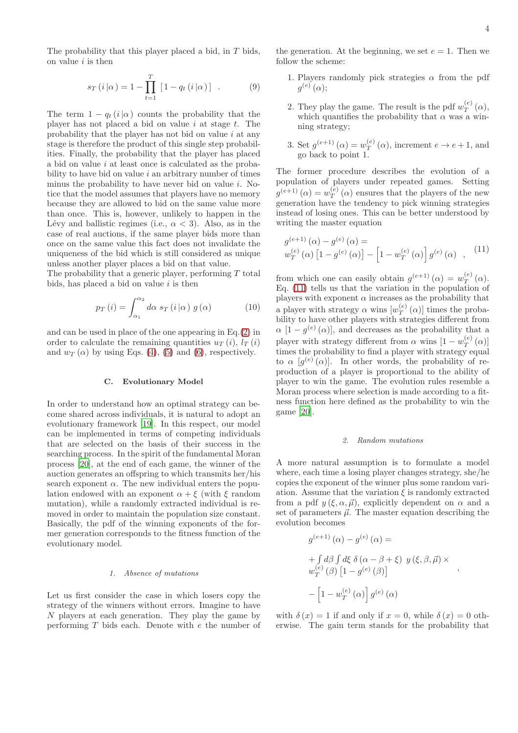The probability that this player placed a bid, in  $T$  bids, on value  $i$  is then

$$
s_T(i|\alpha) = 1 - \prod_{t=1}^T [1 - q_t(i|\alpha)] . \tag{9}
$$

The term  $1 - q_t(i|\alpha)$  counts the probability that the player has not placed a bid on value  $i$  at stage  $t$ . The probability that the player has not bid on value  $i$  at any stage is therefore the product of this single step probabilities. Finally, the probability that the player has placed a bid on value i at least once is calculated as the probability to have bid on value  $i$  an arbitrary number of times minus the probability to have never bid on value  $i$ . Notice that the model assumes that players have no memory because they are allowed to bid on the same value more than once. This is, however, unlikely to happen in the Lévy and ballistic regimes (i.e.,  $\alpha < 3$ ). Also, as in the case of real auctions, if the same player bids more than once on the same value this fact does not invalidate the uniqueness of the bid which is still considered as unique unless another player places a bid on that value.

The probability that a generic player, performing  $T$  total bids, has placed a bid on value  $i$  is then

$$
p_T(i) = \int_{\alpha_1}^{\alpha_2} d\alpha \, s_T(i|\alpha) \, g(\alpha) \tag{10}
$$

and can be used in place of the one appearing in Eq.[\(2\)](#page-3-1) in order to calculate the remaining quantities  $u_T(i)$ ,  $l_T(i)$ and  $w_T(\alpha)$  by using Eqs. [\(4\)](#page-3-4), [\(5\)](#page-3-3) and [\(6\)](#page-3-5), respectively.

#### C. Evolutionary Model

In order to understand how an optimal strategy can become shared across individuals, it is natural to adopt an evolutionary framework [\[19\]](#page-8-14). In this respect, our model can be implemented in terms of competing individuals that are selected on the basis of their success in the searching process. In the spirit of the fundamental Moran process [\[20\]](#page-8-15), at the end of each game, the winner of the auction generates an offspring to which transmits her/his search exponent  $\alpha$ . The new individual enters the population endowed with an exponent  $\alpha + \xi$  (with  $\xi$  random mutation), while a randomly extracted individual is removed in order to maintain the population size constant. Basically, the pdf of the winning exponents of the former generation corresponds to the fitness function of the evolutionary model.

#### *1. Absence of mutations*

Let us first consider the case in which losers copy the strategy of the winners without errors. Imagine to have  $N$  players at each generation. They play the game by performing  $T$  bids each. Denote with  $e$  the number of the generation. At the beginning, we set  $e = 1$ . Then we follow the scheme:

- 1. Players randomly pick strategies  $\alpha$  from the pdf  $g^{(e)}(\alpha);$
- 2. They play the game. The result is the pdf  $w_T^{(e)}(\alpha)$ , which quantifies the probability that  $\alpha$  was a winning strategy;
- 3. Set  $g^{(e+1)}(\alpha) = w_T^{(e)}$  $T^{(e)}(a)$ , increment  $e \to e+1$ , and go back to point 1.

The former procedure describes the evolution of a population of players under repeated games. Setting  $g^{(e+1)}(\alpha) = w_T^{(e)}(\alpha)$  ensures that the players of the new generation have the tendency to pick winning strategies instead of losing ones. This can be better understood by writing the master equation

<span id="page-4-0"></span>
$$
g^{(e+1)}(\alpha) - g^{(e)}(\alpha) =
$$
  

$$
w_T^{(e)}(\alpha) [1 - g^{(e)}(\alpha)] - [1 - w_T^{(e)}(\alpha)] g^{(e)}(\alpha) , (11)
$$

from which one can easily obtain  $g^{(e+1)}(\alpha) = w_T^{(e)}$  $T^{(e)}(\alpha)$ . Eq. [\(11\)](#page-4-0) tells us that the variation in the population of players with exponent  $\alpha$  increases as the probability that a player with strategy  $\alpha$  wins  $[w_T^{(e)}(\alpha)]$  times the probability to have other players with strategies different from  $\alpha$  [1 –  $g^{(e)}(\alpha)$ ], and decreases as the probability that a player with strategy different from  $\alpha$  wins  $[1 - w_T^{(e)}]$  $T^{(e)}(\alpha)$ times the probability to find a player with strategy equal to  $\alpha$  [ $g^{(e)}(\alpha)$ ]. In other words, the probability of reproduction of a player is proportional to the ability of player to win the game. The evolution rules resemble a Moran process where selection is made according to a fitness function here defined as the probability to win the game [\[20\]](#page-8-15).

#### *2. Random mutations*

A more natural assumption is to formulate a model where, each time a losing player changes strategy, she/he copies the exponent of the winner plus some random variation. Assume that the variation  $\xi$  is randomly extracted from a pdf  $y(\xi, \alpha, \vec{\mu})$ , explicitly dependent on  $\alpha$  and a set of parameters  $\vec{\mu}$ . The master equation describing the evolution becomes

$$
g^{(e+1)}(\alpha) - g^{(e)}(\alpha) =
$$
  
+ 
$$
\int d\beta \int d\xi \delta(\alpha - \beta + \xi) y(\xi, \beta, \vec{\mu}) \times
$$
  

$$
w_T^{(e)}(\beta) [1 - g^{(e)}(\beta)]
$$
  
- 
$$
\left[1 - w_T^{(e)}(\alpha)\right] g^{(e)}(\alpha)
$$

,

with  $\delta(x) = 1$  if and only if  $x = 0$ , while  $\delta(x) = 0$  otherwise. The gain term stands for the probability that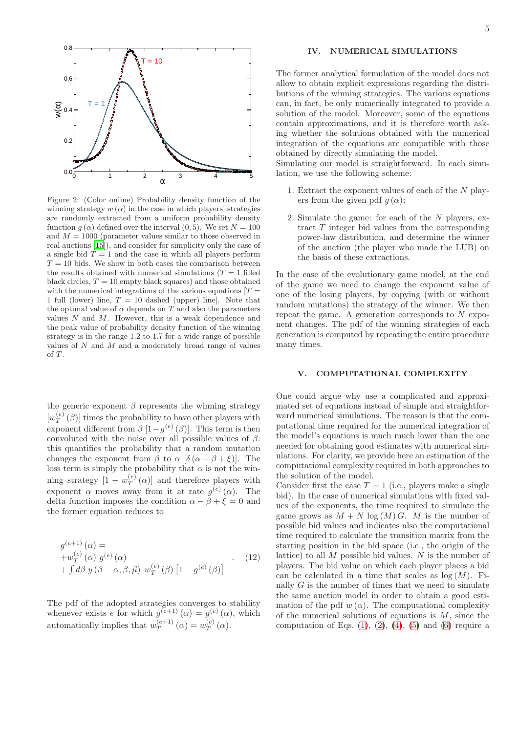

<span id="page-5-0"></span>Figure 2: (Color online) Probability density function of the winning strategy  $w(\alpha)$  in the case in which players' strategies are randomly extracted from a uniform probability density function  $q(\alpha)$  defined over the interval  $(0, 5)$ . We set  $N = 100$ and  $M = 1000$  (parameter values similar to those observed in real auctions [\[15\]](#page-8-5)), and consider for simplicity only the case of a single bid  $T = 1$  and the case in which all players perform  $T = 10$  bids. We show in both cases the comparison between the results obtained with numerical simulations  $(T = 1$  filled black circles,  $T = 10$  empty black squares) and those obtained with the numerical integrations of the various equations  $[T =$ 1 full (lower) line,  $T = 10$  dashed (upper) line]. Note that the optimal value of  $\alpha$  depends on T and also the parameters values  $N$  and  $M$ . However, this is a weak dependence and the peak value of probability density function of the winning strategy is in the range 1.2 to 1.7 for a wide range of possible values of N and M and a moderately broad range of values of T.

the generic exponent  $\beta$  represents the winning strategy  $[w_T^{(e)}(\beta)]$  times the probability to have other players with exponent different from  $\beta$  [1 –  $g^{(e)}(\beta)$ ]. This term is then convoluted with the noise over all possible values of  $\beta$ : this quantifies the probability that a random mutation changes the exponent from  $\beta$  to  $\alpha$  [ $\delta(\alpha - \beta + \xi)$ ]. The loss term is simply the probability that  $\alpha$  is not the winning strategy  $[1 - w_T^{(e)}]$  $T^{(e)}(\alpha)$  and therefore players with exponent  $\alpha$  moves away from it at rate  $g^{(e)}(\alpha)$ . The delta function imposes the condition  $\alpha - \beta + \xi = 0$  and the former equation reduces to

$$
g^{(e+1)}(\alpha) =
$$
  
+ $w_T^{(e)}(\alpha) g^{(e)}(\alpha)$   
+ $\int d\beta y (\beta - \alpha, \beta, \vec{\mu}) w_T^{(e)}(\beta) [1 - g^{(e)}(\beta)]$  (12)

The pdf of the adopted strategies converges to stability whenever exists e for which  $g^{(e+1)}(\alpha) = g^{(e)}(\alpha)$ , which automatically implies that  $w_T^{(e+1)}(\alpha) = w_T^{(e)}(\alpha)$ .

# IV. NUMERICAL SIMULATIONS

The former analytical formulation of the model does not allow to obtain explicit expressions regarding the distributions of the winning strategies. The various equations can, in fact, be only numerically integrated to provide a solution of the model. Moreover, some of the equations contain approximations, and it is therefore worth asking whether the solutions obtained with the numerical integration of the equations are compatible with those obtained by directly simulating the model.

Simulating our model is straightforward. In each simulation, we use the following scheme:

- 1. Extract the exponent values of each of the N players from the given pdf  $q(\alpha)$ ;
- 2. Simulate the game: for each of the N players, extract T integer bid values from the corresponding power-law distribution, and determine the winner of the auction (the player who made the LUB) on the basis of these extractions.

In the case of the evolutionary game model, at the end of the game we need to change the exponent value of one of the losing players, by copying (with or without random mutations) the strategy of the winner. We then repeat the game. A generation corresponds to  $N$  exponent changes. The pdf of the winning strategies of each generation is computed by repeating the entire procedure many times.

# V. COMPUTATIONAL COMPLEXITY

One could argue why use a complicated and approximated set of equations instead of simple and straightforward numerical simulations. The reason is that the computational time required for the numerical integration of the model's equations is much much lower than the one needed for obtaining good estimates with numerical simulations. For clarity, we provide here an estimation of the computational complexity required in both approaches to the solution of the model.

Consider first the case  $T = 1$  (i.e., players make a single bid). In the case of numerical simulations with fixed values of the exponents, the time required to simulate the game grows as  $M + N \log(M) G$ . M is the number of possible bid values and indicates also the computational time required to calculate the transition matrix from the starting position in the bid space (i.e., the origin of the lattice) to all  $M$  possible bid values.  $N$  is the number of players. The bid value on which each player places a bid can be calculated in a time that scales as  $log(M)$ . Finally  $G$  is the number of times that we need to simulate the same auction model in order to obtain a good estimation of the pdf  $w(\alpha)$ . The computational complexity of the numerical solutions of equations is  $M$ , since the computation of Eqs.  $(1)$ ,  $(2)$ ,  $(4)$ ,  $(5)$  and  $(6)$  require a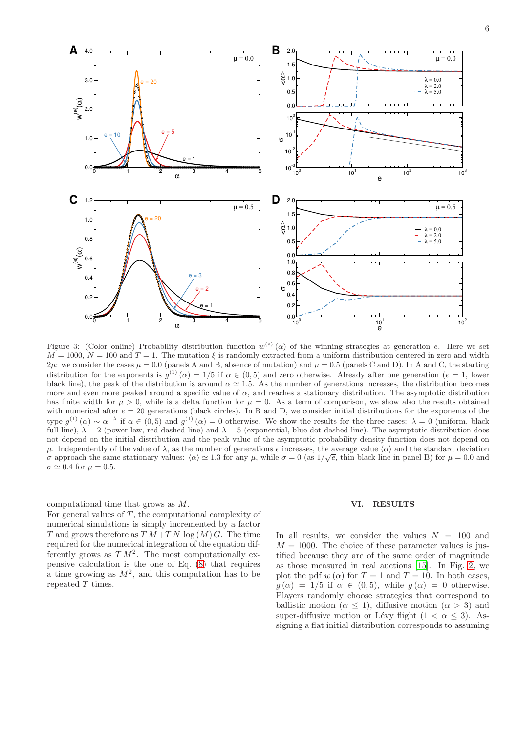

<span id="page-6-0"></span>Figure 3: (Color online) Probability distribution function  $w^{(e)}(\alpha)$  of the winning strategies at generation e. Here we set  $M = 1000, N = 100$  and  $T = 1$ . The mutation  $\xi$  is randomly extracted from a uniform distribution centered in zero and width  $2\mu$ : we consider the cases  $\mu = 0.0$  (panels A and B, absence of mutation) and  $\mu = 0.5$  (panels C and D). In A and C, the starting distribution for the exponents is  $g^{(1)}(\alpha) = 1/5$  if  $\alpha \in (0, 5)$  and zero otherwise. Already after one generation  $(e = 1, 0)$ black line), the peak of the distribution is around  $\alpha \approx 1.5$ . As the number of generations increases, the distribution becomes more and even more peaked around a specific value of  $\alpha$ , and reaches a stationary distribution. The asymptotic distribution has finite width for  $\mu > 0$ , while is a delta function for  $\mu = 0$ . As a term of comparison, we show also the results obtained with numerical after  $e = 20$  generations (black circles). In B and D, we consider initial distributions for the exponents of the type  $g^{(1)}(\alpha) \sim \alpha^{-\lambda}$  if  $\alpha \in (0, 5)$  and  $g^{(1)}(\alpha) = 0$  otherwise. We show the results for the three cases:  $\lambda = 0$  (uniform, black full line),  $\lambda = 2$  (power-law, red dashed line) and  $\lambda = 5$  (exponential, blue dot-dashed line). The asymptotic distribution does not depend on the initial distribution and the peak value of the asymptotic probability density function does not depend on μ. Independently of the value of λ, as the number of generations e increases, the average value  $\langle \alpha \rangle$  and the standard deviation σ approach the same stationary values:  $\langle \alpha \rangle \simeq 1.3$  for any  $\mu$ , while σ = 0 (as  $1/\sqrt{e}$ , thin black line in panel B) for  $\mu = 0.0$  and  $\sigma \simeq 0.4$  for  $\mu = 0.5$ .

# computational time that grows as M.

For general values of  $T$ , the computational complexity of numerical simulations is simply incremented by a factor T and grows therefore as  $T M+T N \log(M) G$ . The time required for the numerical integration of the equation differently grows as  $T M^2$ . The most computationally expensive calculation is the one of Eq. [\(8\)](#page-3-6) that requires a time growing as  $M^2$ , and this computation has to be repeated T times.

#### VI. RESULTS

In all results, we consider the values  $N = 100$  and  $M = 1000$ . The choice of these parameter values is justified because they are of the same order of magnitude as those measured in real auctions [\[15\]](#page-8-5). In Fig. [2,](#page-5-0) we plot the pdf w  $(\alpha)$  for  $T = 1$  and  $T = 10$ . In both cases,  $g(\alpha) = 1/5$  if  $\alpha \in (0, 5)$ , while  $g(\alpha) = 0$  otherwise. Players randomly choose strategies that correspond to ballistic motion ( $\alpha \leq 1$ ), diffusive motion ( $\alpha > 3$ ) and super-diffusive motion or Lévy flight  $(1 < \alpha < 3)$ . Assigning a flat initial distribution corresponds to assuming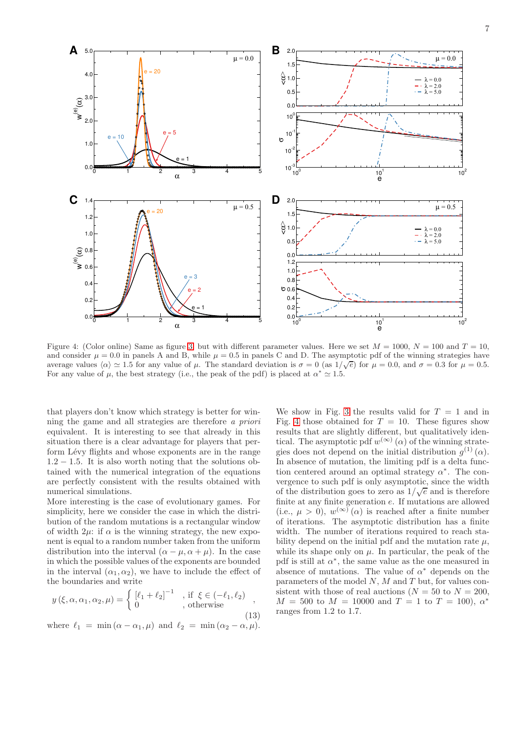

<span id="page-7-0"></span>Figure 4: (Color online) Same as figure [3,](#page-6-0) but with different parameter values. Here we set  $M = 1000$ ,  $N = 100$  and  $T = 10$ , and consider  $\mu = 0.0$  in panels A and B, while  $\mu = 0.5$  in panels C and D. The asymptotic pdf of the winning strategies have average values  $\langle \alpha \rangle \simeq 1.5$  for any value of  $\mu$ . The standard deviation is  $\sigma = 0$  (as  $1/\sqrt{e}$ ) for  $\mu = 0.0$ , and  $\sigma = 0.3$  for  $\mu = 0.5$ . For any value of  $\mu$ , the best strategy (i.e., the peak of the pdf) is placed at  $\alpha^* \simeq 1.5$ .

that players don't know which strategy is better for winning the game and all strategies are therefore a priori equivalent. It is interesting to see that already in this situation there is a clear advantage for players that perform Lévy flights and whose exponents are in the range  $1.2 - 1.5$ . It is also worth noting that the solutions obtained with the numerical integration of the equations are perfectly consistent with the results obtained with numerical simulations.

More interesting is the case of evolutionary games. For simplicity, here we consider the case in which the distribution of the random mutations is a rectangular window of width  $2\mu$ : if  $\alpha$  is the winning strategy, the new exponent is equal to a random number taken from the uniform distribution into the interval  $(\alpha - \mu, \alpha + \mu)$ . In the case in which the possible values of the exponents are bounded in the interval  $(\alpha_1, \alpha_2)$ , we have to include the effect of the boundaries and write

$$
y(\xi, \alpha, \alpha_1, \alpha_2, \mu) = \begin{cases} [\ell_1 + \ell_2]^{-1} & \text{, if } \xi \in (-\ell_1, \ell_2) \\ 0 & \text{, otherwise} \end{cases}
$$
\n(13)

where  $\ell_1 = \min(\alpha - \alpha_1, \mu)$  and  $\ell_2 = \min(\alpha_2 - \alpha, \mu)$ .

We show in Fig. [3](#page-6-0) the results valid for  $T = 1$  and in Fig. [4](#page-7-0) those obtained for  $T = 10$ . These figures show results that are slightly different, but qualitatively identical. The asymptotic pdf  $w^{(\infty)}(\alpha)$  of the winning strategies does not depend on the initial distribution  $g^{(1)}(\alpha)$ . In absence of mutation, the limiting pdf is a delta function centered around an optimal strategy  $\alpha^*$ . The convergence to such pdf is only asymptotic, since the width of the distribution goes to zero as  $1/\sqrt{e}$  and is therefore finite at any finite generation e. If mutations are allowed (i.e.,  $\mu > 0$ ),  $w^{(\infty)}(\alpha)$  is reached after a finite number of iterations. The asymptotic distribution has a finite width. The number of iterations required to reach stability depend on the initial pdf and the mutation rate  $\mu$ , while its shape only on  $\mu$ . In particular, the peak of the pdf is still at  $\alpha^*$ , the same value as the one measured in absence of mutations. The value of  $\alpha^*$  depends on the parameters of the model  $N$ ,  $M$  and  $T$  but, for values consistent with those of real auctions  $(N = 50$  to  $N = 200$ ,  $M = 500$  to  $M = 10000$  and  $T = 1$  to  $T = 100$ ,  $\alpha^*$ ranges from 1.2 to 1.7.